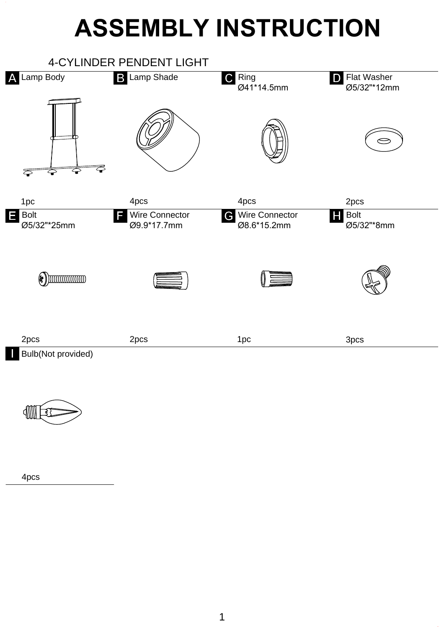## **ASSEMBLY INSTRUCTION**





4pcs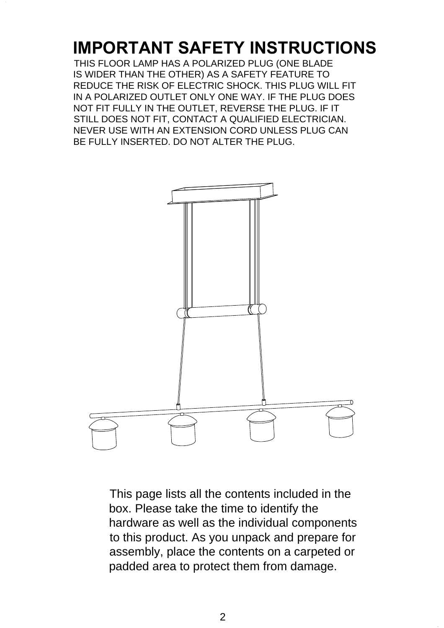## **IMPORTANT SAFETY INSTRUCTIONS**

THIS FLOOR LAMP HAS A POLARIZED PLUG (ONE BLADE IS WIDER THAN THE OTHER) AS A SAFETY FEATURE TO REDUCE THE RISK OF ELECTRIC SHOCK. THIS PLUG WILL FIT IN A POLARIZED OUTLET ONLY ONE WAY. IF THE PLUG DOES NOT FIT FULLY IN THE OUTLET, REVERSE THE PLUG. IF IT STILL DOES NOT FIT, CONTACT A QUALIFIED ELECTRICIAN. NEVER USE WITH AN EXTENSION CORD UNLESS PLUG CAN BE FULLY INSERTED. DO NOT ALTER THE PLUG.



This page lists all the contents included in the box. Please take the time to identify the hardware as well as the individual components to this product. As you unpack and prepare for assembly, place the contents on a carpeted or padded area to protect them from damage.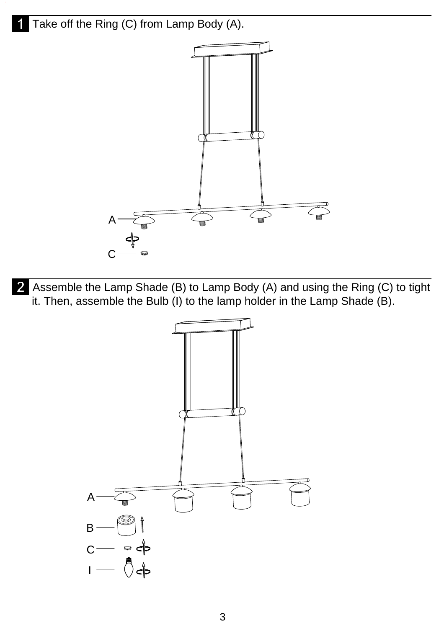Take off the Ring (C) from Lamp Body (A).



Assemble the Lamp Shade (B) to Lamp Body (A) and using the Ring (C) to tight it. Then, assemble the Bulb (I) to the lamp holder in the Lamp Shade (B).